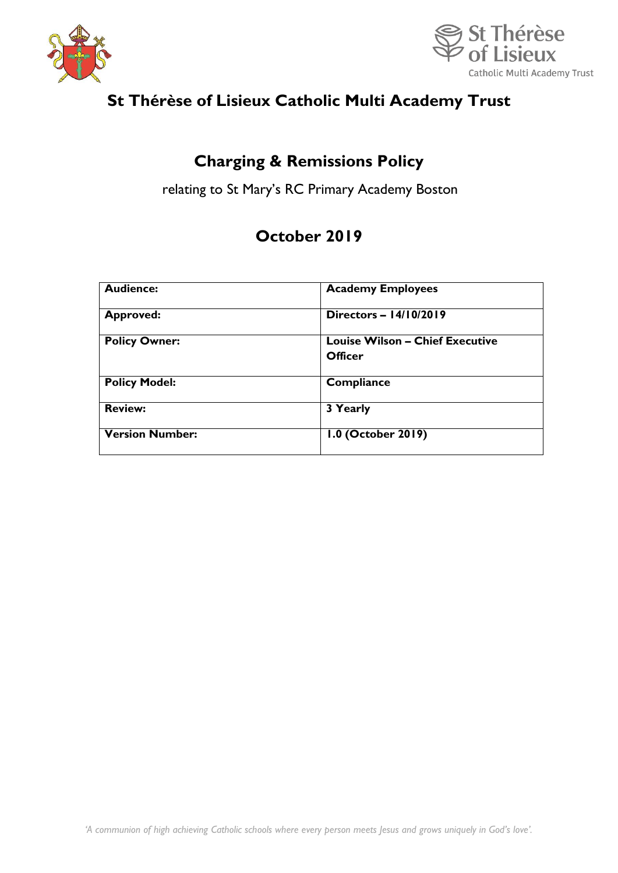



# **St Thérèse of Lisieux Catholic Multi Academy Trust**

## **Charging & Remissions Policy**

relating to St Mary's RC Primary Academy Boston

## **October 2019**

| <b>Audience:</b>       | <b>Academy Employees</b><br>Directors - 14/10/2019 |  |  |
|------------------------|----------------------------------------------------|--|--|
| <b>Approved:</b>       |                                                    |  |  |
| <b>Policy Owner:</b>   | <b>Louise Wilson - Chief Executive</b><br>Officer  |  |  |
| <b>Policy Model:</b>   | Compliance                                         |  |  |
| <b>Review:</b>         | 3 Yearly                                           |  |  |
| <b>Version Number:</b> | 1.0 (October 2019)                                 |  |  |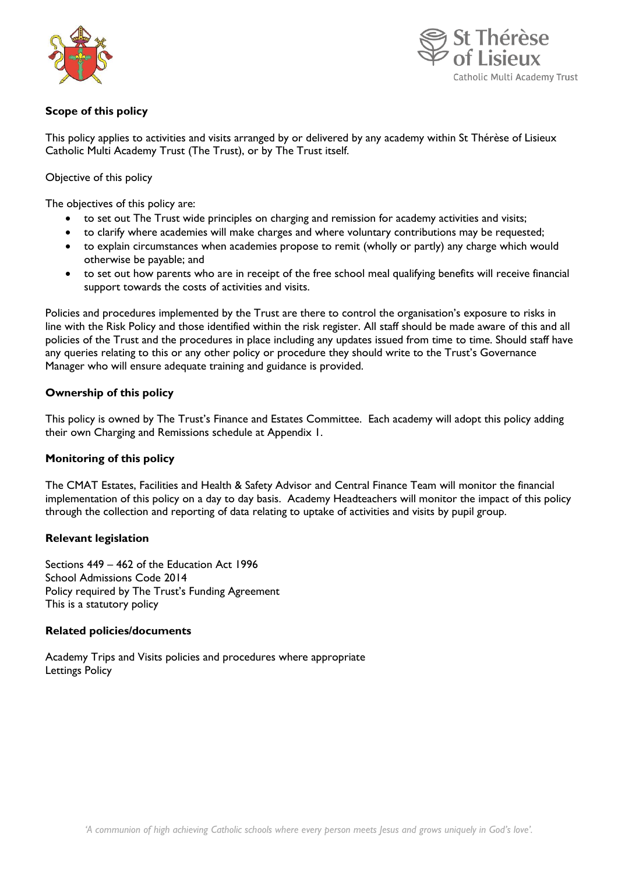



## **Scope of this policy**

This policy applies to activities and visits arranged by or delivered by any academy within St Thérèse of Lisieux Catholic Multi Academy Trust (The Trust), or by The Trust itself.

Objective of this policy

The objectives of this policy are:

- to set out The Trust wide principles on charging and remission for academy activities and visits;
- to clarify where academies will make charges and where voluntary contributions may be requested;
- to explain circumstances when academies propose to remit (wholly or partly) any charge which would otherwise be payable; and
- to set out how parents who are in receipt of the free school meal qualifying benefits will receive financial support towards the costs of activities and visits.

Policies and procedures implemented by the Trust are there to control the organisation's exposure to risks in line with the Risk Policy and those identified within the risk register. All staff should be made aware of this and all policies of the Trust and the procedures in place including any updates issued from time to time. Should staff have any queries relating to this or any other policy or procedure they should write to the Trust's Governance Manager who will ensure adequate training and guidance is provided.

### **Ownership of this policy**

This policy is owned by The Trust's Finance and Estates Committee. Each academy will adopt this policy adding their own Charging and Remissions schedule at Appendix 1.

### **Monitoring of this policy**

The CMAT Estates, Facilities and Health & Safety Advisor and Central Finance Team will monitor the financial implementation of this policy on a day to day basis. Academy Headteachers will monitor the impact of this policy through the collection and reporting of data relating to uptake of activities and visits by pupil group.

### **Relevant legislation**

Sections 449 – 462 of the Education Act 1996 School Admissions Code 2014 Policy required by The Trust's Funding Agreement This is a statutory policy

#### **Related policies/documents**

Academy Trips and Visits policies and procedures where appropriate Lettings Policy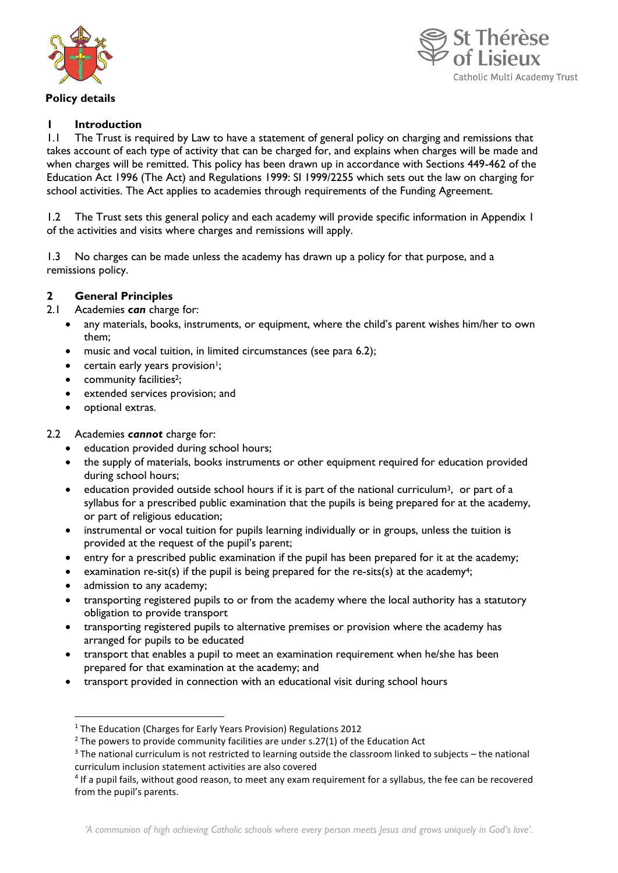

#### **Policy details**



## **1 Introduction**

1.1 The Trust is required by Law to have a statement of general policy on charging and remissions that takes account of each type of activity that can be charged for, and explains when charges will be made and when charges will be remitted. This policy has been drawn up in accordance with Sections 449-462 of the Education Act 1996 (The Act) and Regulations 1999: SI 1999/2255 which sets out the law on charging for school activities. The Act applies to academies through requirements of the Funding Agreement.

1.2 The Trust sets this general policy and each academy will provide specific information in Appendix 1 of the activities and visits where charges and remissions will apply.

1.3 No charges can be made unless the academy has drawn up a policy for that purpose, and a remissions policy.

### **2 General Principles**

2.1 Academies *can* charge for:

- any materials, books, instruments, or equipment, where the child's parent wishes him/her to own them;
- music and vocal tuition, in limited circumstances (see para 6.2);
- $\bullet$  certain early years provision<sup>1</sup>;
- community facilities<sup>2</sup>;
- extended services provision; and
- optional extras.

#### 2.2 Academies *cannot* charge for:

- education provided during school hours;
- the supply of materials, books instruments or other equipment required for education provided during school hours;
- education provided outside school hours if it is part of the national curriculum<sup>3</sup>, or part of a syllabus for a prescribed public examination that the pupils is being prepared for at the academy, or part of religious education;
- instrumental or vocal tuition for pupils learning individually or in groups, unless the tuition is provided at the request of the pupil's parent;
- entry for a prescribed public examination if the pupil has been prepared for it at the academy;
- examination re-sit(s) if the pupil is being prepared for the re-sits(s) at the academy<sup>4</sup>;
- admission to any academy;

**.** 

- transporting registered pupils to or from the academy where the local authority has a statutory obligation to provide transport
- transporting registered pupils to alternative premises or provision where the academy has arranged for pupils to be educated
- transport that enables a pupil to meet an examination requirement when he/she has been prepared for that examination at the academy; and
- transport provided in connection with an educational visit during school hours

<sup>1</sup> The Education (Charges for Early Years Provision) Regulations 2012

 $2$  The powers to provide community facilities are under s.27(1) of the Education Act

<sup>3</sup> The national curriculum is not restricted to learning outside the classroom linked to subjects – the national curriculum inclusion statement activities are also covered

<sup>&</sup>lt;sup>4</sup> If a pupil fails, without good reason, to meet any exam requirement for a syllabus, the fee can be recovered from the pupil's parents.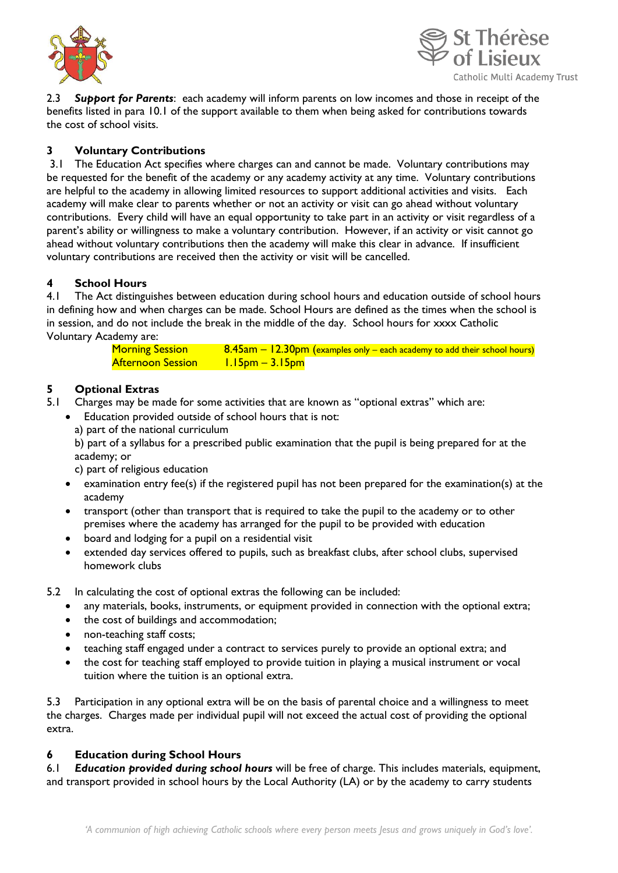



2.3 *Support for Parents*: each academy will inform parents on low incomes and those in receipt of the benefits listed in para 10.1 of the support available to them when being asked for contributions towards the cost of school visits.

## **3 Voluntary Contributions**

3.1 The Education Act specifies where charges can and cannot be made. Voluntary contributions may be requested for the benefit of the academy or any academy activity at any time. Voluntary contributions are helpful to the academy in allowing limited resources to support additional activities and visits. Each academy will make clear to parents whether or not an activity or visit can go ahead without voluntary contributions. Every child will have an equal opportunity to take part in an activity or visit regardless of a parent's ability or willingness to make a voluntary contribution. However, if an activity or visit cannot go ahead without voluntary contributions then the academy will make this clear in advance. If insufficient voluntary contributions are received then the activity or visit will be cancelled.

### **4 School Hours**

4.1 The Act distinguishes between education during school hours and education outside of school hours in defining how and when charges can be made. School Hours are defined as the times when the school is in session, and do not include the break in the middle of the day. School hours for xxxx Catholic Voluntary Academy are:

| <b>Morning Session</b> | $8.45$ am – 12.30pm (examples only – each academy to add their school hours) |
|------------------------|------------------------------------------------------------------------------|
| Afternoon Session L    | <u> I.I5pm – 3.I5pm</u>                                                      |

## **5 Optional Extras**

- 5.1 Charges may be made for some activities that are known as "optional extras" which are:
	- Education provided outside of school hours that is not:
	- a) part of the national curriculum

b) part of a syllabus for a prescribed public examination that the pupil is being prepared for at the academy; or

c) part of religious education

- examination entry fee(s) if the registered pupil has not been prepared for the examination(s) at the academy
- transport (other than transport that is required to take the pupil to the academy or to other premises where the academy has arranged for the pupil to be provided with education
- board and lodging for a pupil on a residential visit
- extended day services offered to pupils, such as breakfast clubs, after school clubs, supervised homework clubs

5.2 In calculating the cost of optional extras the following can be included:

- any materials, books, instruments, or equipment provided in connection with the optional extra;
- the cost of buildings and accommodation;
- non-teaching staff costs;
- teaching staff engaged under a contract to services purely to provide an optional extra; and
- the cost for teaching staff employed to provide tuition in playing a musical instrument or vocal tuition where the tuition is an optional extra.

5.3 Participation in any optional extra will be on the basis of parental choice and a willingness to meet the charges. Charges made per individual pupil will not exceed the actual cost of providing the optional extra.

### **6 Education during School Hours**

6.1 *Education provided during school hours* will be free of charge. This includes materials, equipment, and transport provided in school hours by the Local Authority (LA) or by the academy to carry students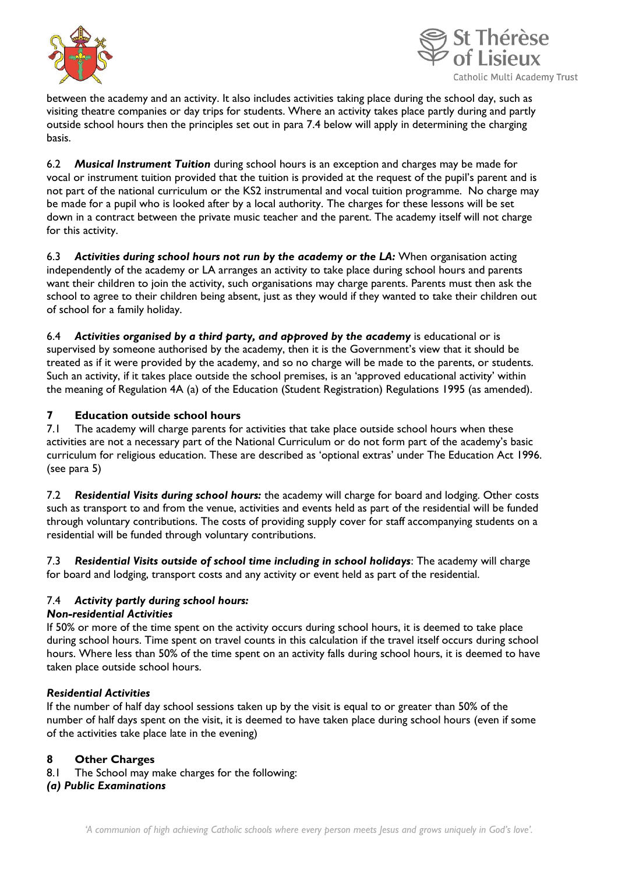



between the academy and an activity. It also includes activities taking place during the school day, such as visiting theatre companies or day trips for students. Where an activity takes place partly during and partly outside school hours then the principles set out in para 7.4 below will apply in determining the charging basis.

6.2 *Musical Instrument Tuition* during school hours is an exception and charges may be made for vocal or instrument tuition provided that the tuition is provided at the request of the pupil's parent and is not part of the national curriculum or the KS2 instrumental and vocal tuition programme. No charge may be made for a pupil who is looked after by a local authority. The charges for these lessons will be set down in a contract between the private music teacher and the parent. The academy itself will not charge for this activity.

6.3 *Activities during school hours not run by the academy or the LA:* When organisation acting independently of the academy or LA arranges an activity to take place during school hours and parents want their children to join the activity, such organisations may charge parents. Parents must then ask the school to agree to their children being absent, just as they would if they wanted to take their children out of school for a family holiday.

6.4 *Activities organised by a third party, and approved by the academy* is educational or is supervised by someone authorised by the academy, then it is the Government's view that it should be treated as if it were provided by the academy, and so no charge will be made to the parents, or students. Such an activity, if it takes place outside the school premises, is an 'approved educational activity' within the meaning of Regulation 4A (a) of the Education (Student Registration) Regulations 1995 (as amended).

## **7 Education outside school hours**

7.1 The academy will charge parents for activities that take place outside school hours when these activities are not a necessary part of the National Curriculum or do not form part of the academy's basic curriculum for religious education. These are described as 'optional extras' under The Education Act 1996. (see para 5)

7.2 *Residential Visits during school hours:* the academy will charge for board and lodging. Other costs such as transport to and from the venue, activities and events held as part of the residential will be funded through voluntary contributions. The costs of providing supply cover for staff accompanying students on a residential will be funded through voluntary contributions.

7.3 *Residential Visits outside of school time including in school holidays*: The academy will charge for board and lodging, transport costs and any activity or event held as part of the residential.

## 7.4 *Activity partly during school hours:*

### *Non-residential Activities*

If 50% or more of the time spent on the activity occurs during school hours, it is deemed to take place during school hours. Time spent on travel counts in this calculation if the travel itself occurs during school hours. Where less than 50% of the time spent on an activity falls during school hours, it is deemed to have taken place outside school hours.

### *Residential Activities*

If the number of half day school sessions taken up by the visit is equal to or greater than 50% of the number of half days spent on the visit, it is deemed to have taken place during school hours (even if some of the activities take place late in the evening)

### **8 Other Charges**

8.1 The School may make charges for the following:

### *(a) Public Examinations*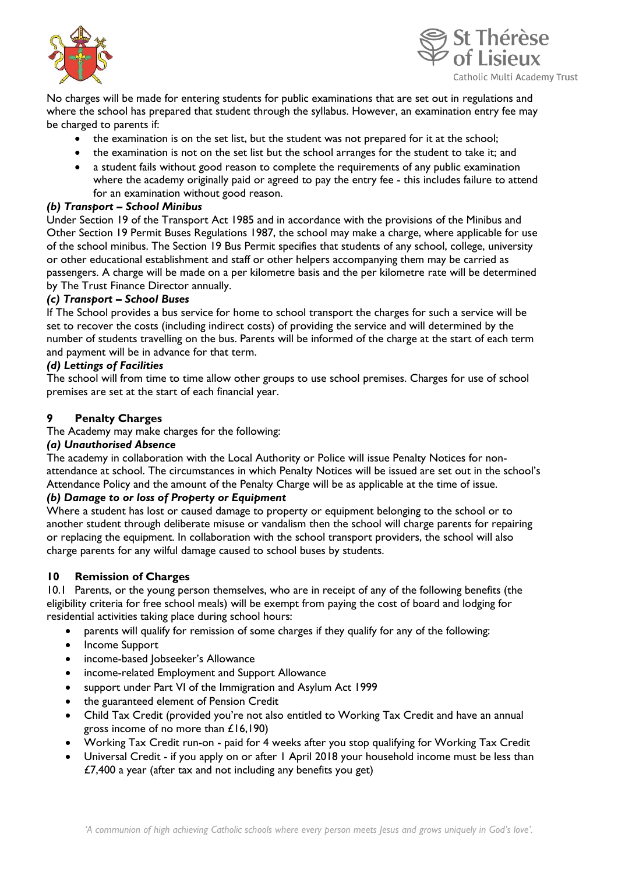



No charges will be made for entering students for public examinations that are set out in regulations and where the school has prepared that student through the syllabus. However, an examination entry fee may be charged to parents if:

- the examination is on the set list, but the student was not prepared for it at the school;
- the examination is not on the set list but the school arranges for the student to take it; and
- a student fails without good reason to complete the requirements of any public examination where the academy originally paid or agreed to pay the entry fee - this includes failure to attend for an examination without good reason.

#### *(b) Transport – School Minibus*

Under Section 19 of the Transport Act 1985 and in accordance with the provisions of the Minibus and Other Section 19 Permit Buses Regulations 1987, the school may make a charge, where applicable for use of the school minibus. The Section 19 Bus Permit specifies that students of any school, college, university or other educational establishment and staff or other helpers accompanying them may be carried as passengers. A charge will be made on a per kilometre basis and the per kilometre rate will be determined by The Trust Finance Director annually.

#### *(c) Transport – School Buses*

If The School provides a bus service for home to school transport the charges for such a service will be set to recover the costs (including indirect costs) of providing the service and will determined by the number of students travelling on the bus. Parents will be informed of the charge at the start of each term and payment will be in advance for that term.

#### *(d) Lettings of Facilities*

The school will from time to time allow other groups to use school premises. Charges for use of school premises are set at the start of each financial year.

#### **9 Penalty Charges**

The Academy may make charges for the following:

#### *(a) Unauthorised Absence*

The academy in collaboration with the Local Authority or Police will issue Penalty Notices for nonattendance at school. The circumstances in which Penalty Notices will be issued are set out in the school's Attendance Policy and the amount of the Penalty Charge will be as applicable at the time of issue.

### *(b) Damage to or loss of Property or Equipment*

Where a student has lost or caused damage to property or equipment belonging to the school or to another student through deliberate misuse or vandalism then the school will charge parents for repairing or replacing the equipment. In collaboration with the school transport providers, the school will also charge parents for any wilful damage caused to school buses by students.

### **10 Remission of Charges**

10.1 Parents, or the young person themselves, who are in receipt of any of the following benefits (the eligibility criteria for free school meals) will be exempt from paying the cost of board and lodging for residential activities taking place during school hours:

- parents will qualify for remission of some charges if they qualify for any of the following:
- Income Support
- income-based Jobseeker's Allowance
- income-related Employment and Support Allowance
- support under Part VI of the Immigration and Asylum Act 1999
- the guaranteed element of Pension Credit
- Child Tax Credit (provided you're not also entitled to Working Tax Credit and have an annual gross income of no more than £16,190)
- Working Tax Credit run-on paid for 4 weeks after you stop qualifying for Working Tax Credit
- Universal Credit if you apply on or after 1 April 2018 your household income must be less than £7,400 a year (after tax and not including any benefits you get)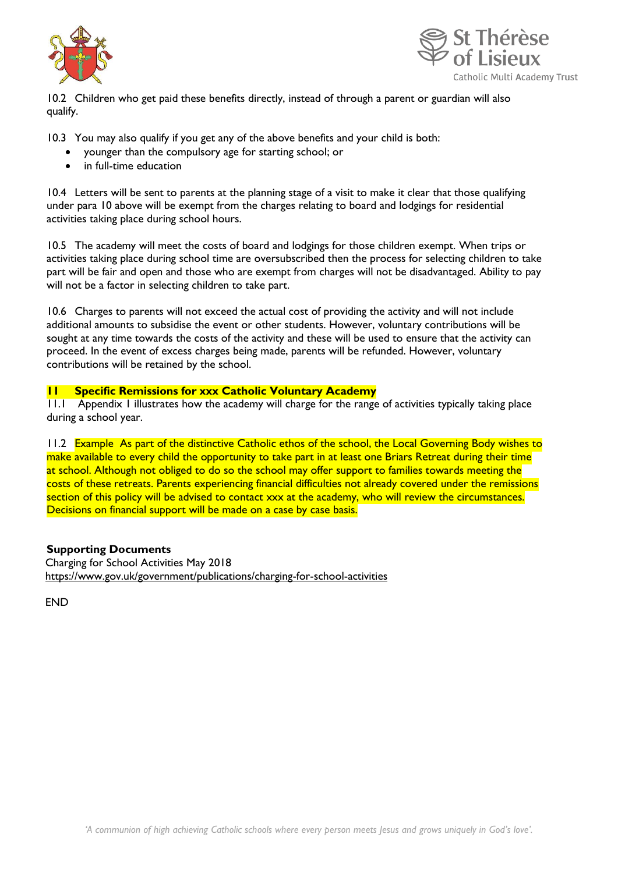



10.2 Children who get paid these benefits directly, instead of through a parent or guardian will also qualify.

10.3 You may also qualify if you get any of the above benefits and your child is both:

- younger than the compulsory age for starting school; or
- in full-time education

10.4 Letters will be sent to parents at the planning stage of a visit to make it clear that those qualifying under para 10 above will be exempt from the charges relating to board and lodgings for residential activities taking place during school hours.

10.5 The academy will meet the costs of board and lodgings for those children exempt. When trips or activities taking place during school time are oversubscribed then the process for selecting children to take part will be fair and open and those who are exempt from charges will not be disadvantaged. Ability to pay will not be a factor in selecting children to take part.

10.6 Charges to parents will not exceed the actual cost of providing the activity and will not include additional amounts to subsidise the event or other students. However, voluntary contributions will be sought at any time towards the costs of the activity and these will be used to ensure that the activity can proceed. In the event of excess charges being made, parents will be refunded. However, voluntary contributions will be retained by the school.

#### **11 Specific Remissions for xxx Catholic Voluntary Academy**

11.1 Appendix 1 illustrates how the academy will charge for the range of activities typically taking place during a school year.

11.2 Example As part of the distinctive Catholic ethos of the school, the Local Governing Body wishes to make available to every child the opportunity to take part in at least one Briars Retreat during their time at school. Although not obliged to do so the school may offer support to families towards meeting the costs of these retreats. Parents experiencing financial difficulties not already covered under the remissions section of this policy will be advised to contact xxx at the academy, who will review the circumstances. Decisions on financial support will be made on a case by case basis.

### **Supporting Documents**

Charging for School Activities May 2018 <https://www.gov.uk/government/publications/charging-for-school-activities>

**FND**